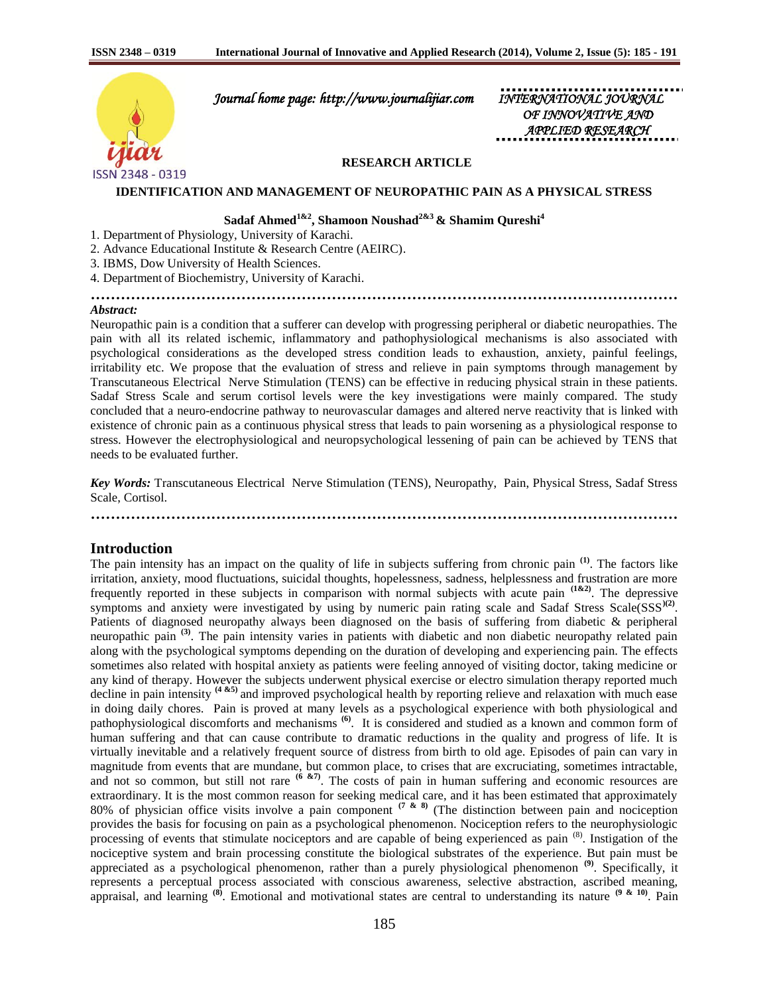

 *Journal home page: http://www.journalijiar.com INTERNATIONAL JOURNAL* 

*OF INNOVATIVE AND APPLIED RESEARCH* 

### **RESEARCH ARTICLE**

#### **IDENTIFICATION AND MANAGEMENT OF NEUROPATHIC PAIN AS A PHYSICAL STRESS**

# **Sadaf Ahmed1&2, Shamoon Noushad2&3 & Shamim Qureshi<sup>4</sup>**

- 1. Department of Physiology, University of Karachi.
- 2. Advance Educational Institute & Research Centre (AEIRC).
- 3. IBMS, Dow University of Health Sciences.

4. Department of Biochemistry, University of Karachi.

**………………………………………………………………………………………………………**

### *Abstract:*

Neuropathic pain is a condition that a sufferer can develop with progressing peripheral or diabetic neuropathies. The pain with all its related ischemic, inflammatory and pathophysiological mechanisms is also associated with psychological considerations as the developed stress condition leads to exhaustion, anxiety, painful feelings, irritability etc. We propose that the evaluation of stress and relieve in pain symptoms through management by Transcutaneous Electrical Nerve Stimulation (TENS) can be effective in reducing physical strain in these patients. Sadaf Stress Scale and serum cortisol levels were the key investigations were mainly compared. The study concluded that a neuro-endocrine pathway to neurovascular damages and altered nerve reactivity that is linked with existence of chronic pain as a continuous physical stress that leads to pain worsening as a physiological response to stress. However the electrophysiological and neuropsychological lessening of pain can be achieved by TENS that needs to be evaluated further.

*Key Words:* Transcutaneous Electrical Nerve Stimulation (TENS), Neuropathy, Pain, Physical Stress, Sadaf Stress Scale, Cortisol.

**………………………………………………………………………………………………………**

### **Introduction**

The pain intensity has an impact on the quality of life in subjects suffering from chronic pain **(1)**. The factors like irritation, anxiety, mood fluctuations, suicidal thoughts, hopelessness, sadness, helplessness and frustration are more frequently reported in these subjects in comparison with normal subjects with acute pain **(1&2)**. The depressive symptoms and anxiety were investigated by using by numeric pain rating scale and Sadaf Stress Scale(SSS<sup>)(2)</sup>. Patients of diagnosed neuropathy always been diagnosed on the basis of suffering from diabetic & peripheral neuropathic pain **(3)**. The pain intensity varies in patients with diabetic and non diabetic neuropathy related pain along with the psychological symptoms depending on the duration of developing and experiencing pain. The effects sometimes also related with hospital anxiety as patients were feeling annoyed of visiting doctor, taking medicine or any kind of therapy. However the subjects underwent physical exercise or electro simulation therapy reported much decline in pain intensity **(4 &5)** and improved psychological health by reporting relieve and relaxation with much ease in doing daily chores. Pain is proved at many levels as a psychological experience with both physiological and pathophysiological discomforts and mechanisms **(6)**. It is considered and studied as a known and common form of human suffering and that can cause contribute to dramatic reductions in the quality and progress of life. It is virtually inevitable and a relatively frequent source of distress from birth to old age. Episodes of pain can vary in magnitude from events that are mundane, but common place, to crises that are excruciating, sometimes intractable, and not so common, but still not rare <sup>(6 &7)</sup>. The costs of pain in human suffering and economic resources are extraordinary. It is the most common reason for seeking medical care, and it has been estimated that approximately 80% of physician office visits involve a pain component **(7 & 8)** (The distinction between pain and nociception provides the basis for focusing on pain as a psychological phenomenon. Nociception refers to the neurophysiologic processing of events that stimulate nociceptors and are capable of being experienced as pain (8). Instigation of the nociceptive system and brain processing constitute the biological substrates of the experience. But pain must be appreciated as a psychological phenomenon, rather than a purely physiological phenomenon **(9)**. Specifically, it represents a perceptual process associated with conscious awareness, selective abstraction, ascribed meaning, appraisal, and learning **(8)**. Emotional and motivational states are central to understanding its nature **(9 & 10)**. Pain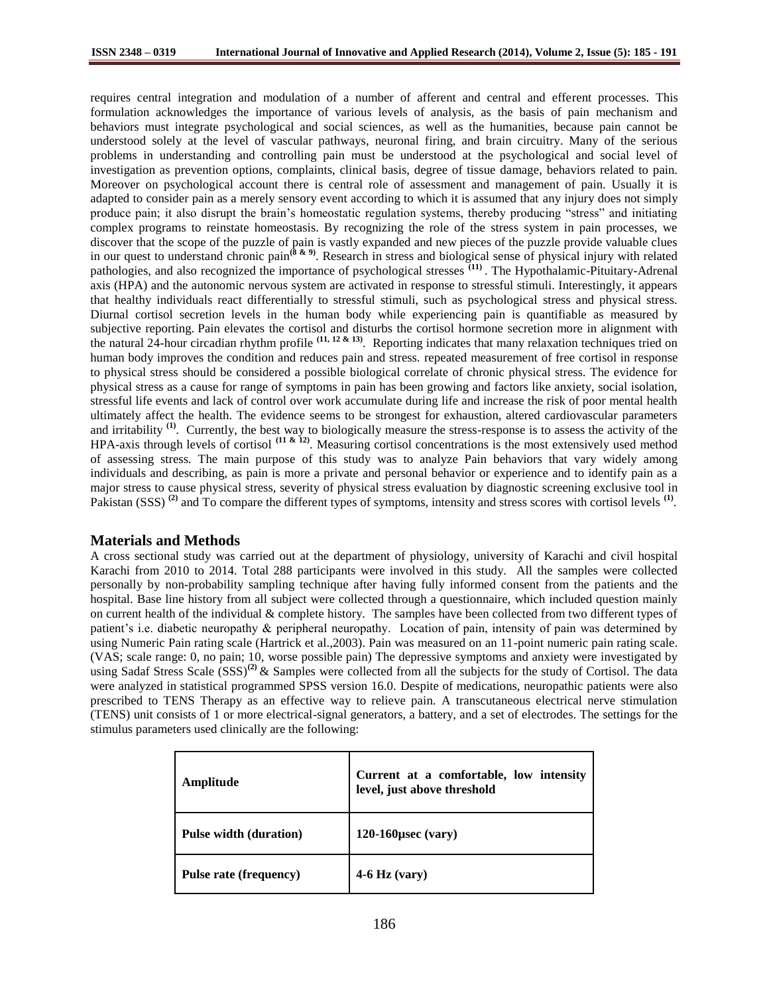requires central integration and modulation of a number of afferent and central and efferent processes. This formulation acknowledges the importance of various levels of analysis, as the basis of pain mechanism and behaviors must integrate psychological and social sciences, as well as the humanities, because pain cannot be understood solely at the level of vascular pathways, neuronal firing, and brain circuitry. Many of the serious problems in understanding and controlling pain must be understood at the psychological and social level of investigation as prevention options, complaints, clinical basis, degree of tissue damage, behaviors related to pain. Moreover on psychological account there is central role of assessment and management of pain. Usually it is adapted to consider pain as a merely sensory event according to which it is assumed that any injury does not simply produce pain; it also disrupt the brain's homeostatic regulation systems, thereby producing "stress" and initiating complex programs to reinstate homeostasis. By recognizing the role of the stress system in pain processes, we discover that the scope of the puzzle of pain is vastly expanded and new pieces of the puzzle provide valuable clues in our quest to understand chronic pain**(8 & 9)**. Research in stress and biological sense of physical injury with related pathologies, and also recognized the importance of psychological stresses **(11)**  . The Hypothalamic-Pituitary-Adrenal axis (HPA) and the autonomic nervous system are activated in response to stressful stimuli. Interestingly, it appears that healthy individuals react differentially to stressful stimuli, such as psychological stress and physical stress. Diurnal cortisol secretion levels in the human body while experiencing pain is quantifiable as measured by subjective reporting. Pain elevates the cortisol and disturbs the cortisol hormone secretion more in alignment with the natural 24-hour circadian rhythm profile **(11, <sup>12</sup> & 13)**. Reporting indicates that many relaxation techniques tried on human body improves the condition and reduces pain and stress. repeated measurement of free cortisol in response to physical stress should be considered a possible biological correlate of chronic physical stress. The evidence for physical stress as a cause for range of symptoms in pain has been growing and factors like anxiety, social isolation, stressful life events and lack of control over work accumulate during life and increase the risk of poor mental health ultimately affect the health. The evidence seems to be strongest for exhaustion, altered cardiovascular parameters and irritability<sup>(1)</sup>. Currently, the best way to biologically measure the stress-response is to assess the activity of the HPA-axis through levels of cortisol **(11 & 12)**. Measuring cortisol concentrations is the most extensively used method of assessing stress. The main purpose of this study was to analyze Pain behaviors that vary widely among individuals and describing, as pain is more a private and personal behavior or experience and to identify pain as a major stress to cause physical stress, severity of physical stress evaluation by diagnostic screening exclusive tool in Pakistan (SSS)<sup>(2)</sup> and To compare the different types of symptoms, intensity and stress scores with cortisol levels<sup>(1)</sup>.

# **Materials and Methods**

A cross sectional study was carried out at the department of physiology, university of Karachi and civil hospital Karachi from 2010 to 2014. Total 288 participants were involved in this study. All the samples were collected personally by non-probability sampling technique after having fully informed consent from the patients and the hospital. Base line history from all subject were collected through a questionnaire, which included question mainly on current health of the individual & complete history. The samples have been collected from two different types of patient's i.e. diabetic neuropathy & peripheral neuropathy. Location of pain, intensity of pain was determined by using Numeric Pain rating scale (Hartrick et al.,2003). Pain was measured on an 11-point numeric pain rating scale. (VAS; scale range: 0, no pain; 10, worse possible pain) The depressive symptoms and anxiety were investigated by using Sadaf Stress Scale (SSS)<sup>(2)</sup> & Samples were collected from all the subjects for the study of Cortisol. The data were analyzed in statistical programmed SPSS version 16.0. Despite of medications, neuropathic patients were also prescribed to TENS Therapy as an effective way to relieve pain. A transcutaneous electrical nerve stimulation (TENS) unit consists of 1 or more electrical-signal generators, a battery, and a set of electrodes. The settings for the stimulus parameters used clinically are the following:

| Amplitude                     | Current at a comfortable, low intensity<br>level, just above threshold |
|-------------------------------|------------------------------------------------------------------------|
| <b>Pulse width (duration)</b> | $120-160$ usec (vary)                                                  |
| Pulse rate (frequency)        | $4-6$ Hz (vary)                                                        |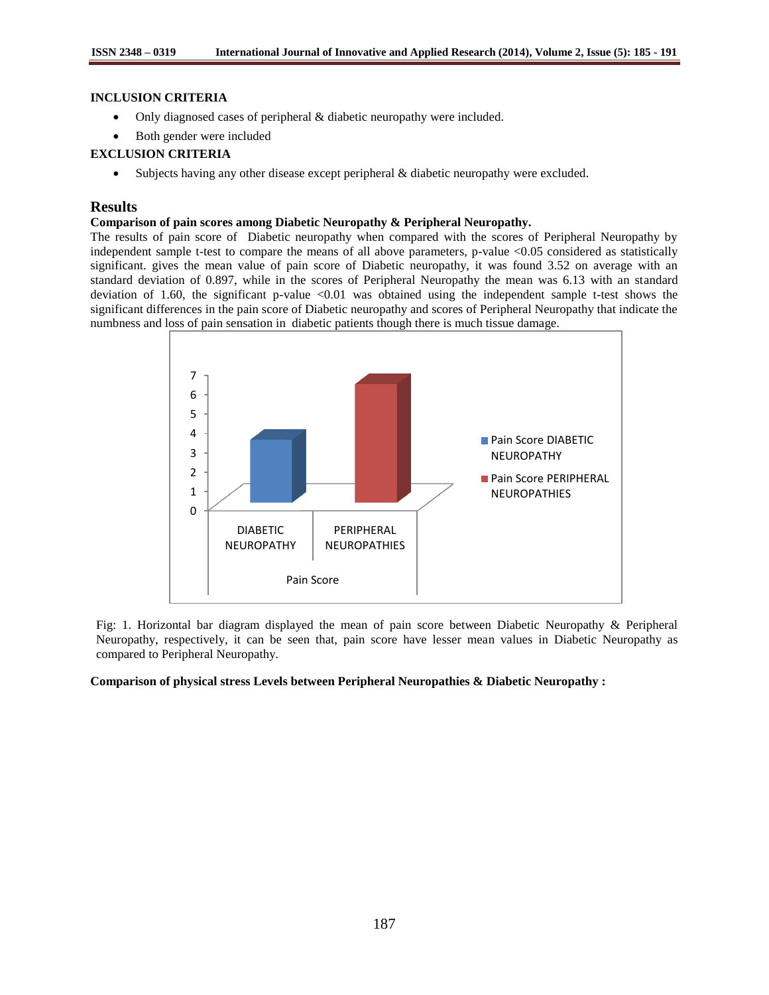## **INCLUSION CRITERIA**

- Only diagnosed cases of peripheral & diabetic neuropathy were included.
- Both gender were included

### **EXCLUSION CRITERIA**

Subjects having any other disease except peripheral & diabetic neuropathy were excluded.

# **Results**

### **Comparison of pain scores among Diabetic Neuropathy & Peripheral Neuropathy.**

The results of pain score of Diabetic neuropathy when compared with the scores of Peripheral Neuropathy by independent sample t-test to compare the means of all above parameters, p-value <0.05 considered as statistically significant. gives the mean value of pain score of Diabetic neuropathy, it was found 3.52 on average with an standard deviation of 0.897, while in the scores of Peripheral Neuropathy the mean was 6.13 with an standard deviation of 1.60, the significant p-value  $\langle 0.01 \rangle$  was obtained using the independent sample t-test shows the significant differences in the pain score of Diabetic neuropathy and scores of Peripheral Neuropathy that indicate the numbness and loss of pain sensation in diabetic patients though there is much tissue damage.



Fig: 1. Horizontal bar diagram displayed the mean of pain score between Diabetic Neuropathy & Peripheral Neuropathy, respectively, it can be seen that, pain score have lesser mean values in Diabetic Neuropathy as compared to Peripheral Neuropathy.

#### **Comparison of physical stress Levels between Peripheral Neuropathies & Diabetic Neuropathy :**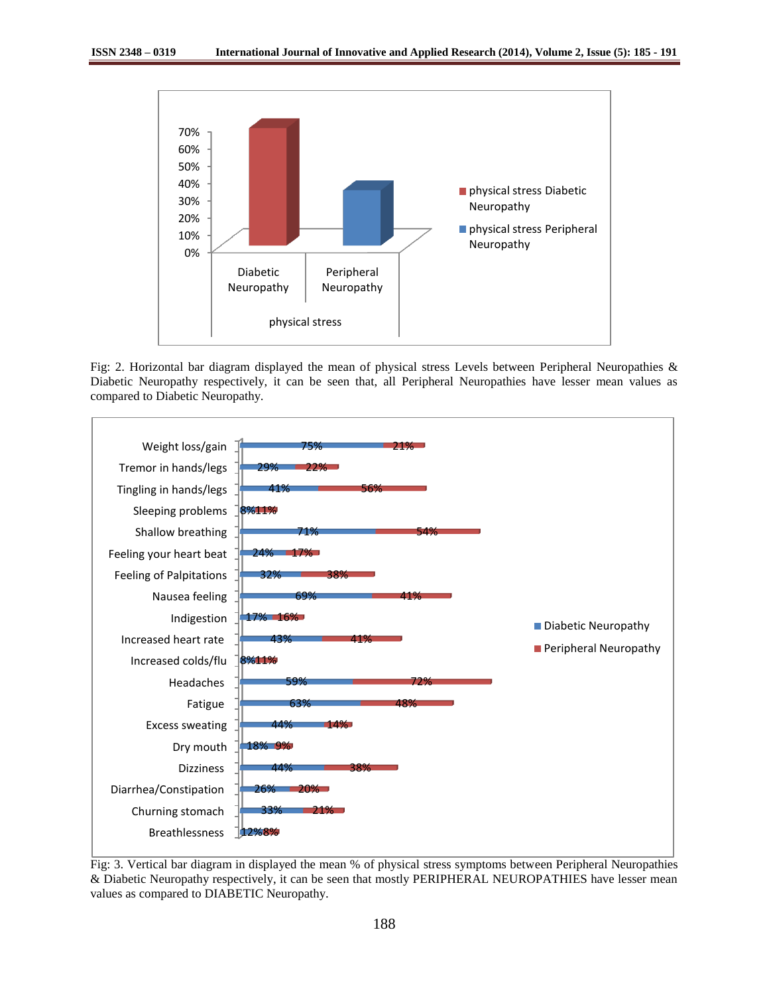

Fig: 2. Horizontal bar diagram displayed the mean of physical stress Levels between Peripheral Neuropathies & Diabetic Neuropathy respectively, it can be seen that, all Peripheral Neuropathies have lesser mean values as compared to Diabetic Neuropathy.



Fig: 3. Vertical bar diagram in displayed the mean % of physical stress symptoms between Peripheral Neuropathies & Diabetic Neuropathy respectively, it can be seen that mostly PERIPHERAL NEUROPATHIES have lesser mean values as compared to DIABETIC Neuropathy.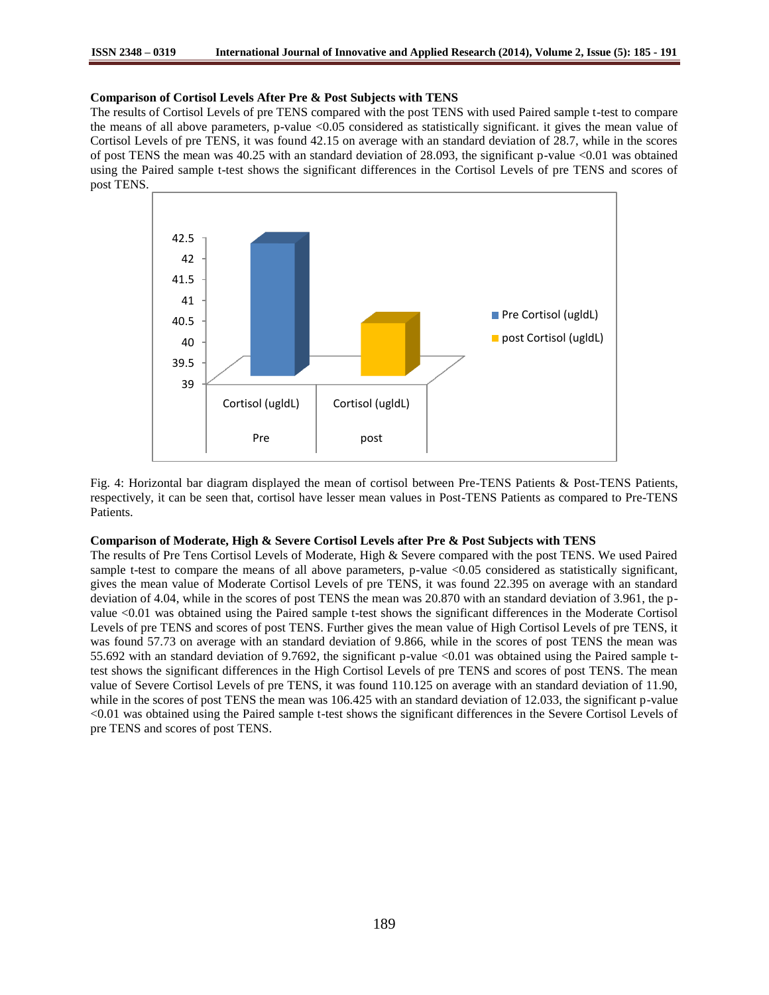#### **Comparison of Cortisol Levels After Pre & Post Subjects with TENS**

The results of Cortisol Levels of pre TENS compared with the post TENS with used Paired sample t-test to compare the means of all above parameters, p-value <0.05 considered as statistically significant. it gives the mean value of Cortisol Levels of pre TENS, it was found 42.15 on average with an standard deviation of 28.7, while in the scores of post TENS the mean was 40.25 with an standard deviation of 28.093, the significant p-value <0.01 was obtained using the Paired sample t-test shows the significant differences in the Cortisol Levels of pre TENS and scores of post TENS.



Fig. 4: Horizontal bar diagram displayed the mean of cortisol between Pre-TENS Patients & Post-TENS Patients, respectively, it can be seen that, cortisol have lesser mean values in Post-TENS Patients as compared to Pre-TENS Patients.

### **Comparison of Moderate, High & Severe Cortisol Levels after Pre & Post Subjects with TENS**

The results of Pre Tens Cortisol Levels of Moderate, High & Severe compared with the post TENS. We used Paired sample t-test to compare the means of all above parameters, p-value <0.05 considered as statistically significant, gives the mean value of Moderate Cortisol Levels of pre TENS, it was found 22.395 on average with an standard deviation of 4.04, while in the scores of post TENS the mean was 20.870 with an standard deviation of 3.961, the pvalue <0.01 was obtained using the Paired sample t-test shows the significant differences in the Moderate Cortisol Levels of pre TENS and scores of post TENS. Further gives the mean value of High Cortisol Levels of pre TENS, it was found 57.73 on average with an standard deviation of 9.866, while in the scores of post TENS the mean was 55.692 with an standard deviation of 9.7692, the significant p-value <0.01 was obtained using the Paired sample ttest shows the significant differences in the High Cortisol Levels of pre TENS and scores of post TENS. The mean value of Severe Cortisol Levels of pre TENS, it was found 110.125 on average with an standard deviation of 11.90, while in the scores of post TENS the mean was 106.425 with an standard deviation of 12.033, the significant p-value <0.01 was obtained using the Paired sample t-test shows the significant differences in the Severe Cortisol Levels of pre TENS and scores of post TENS.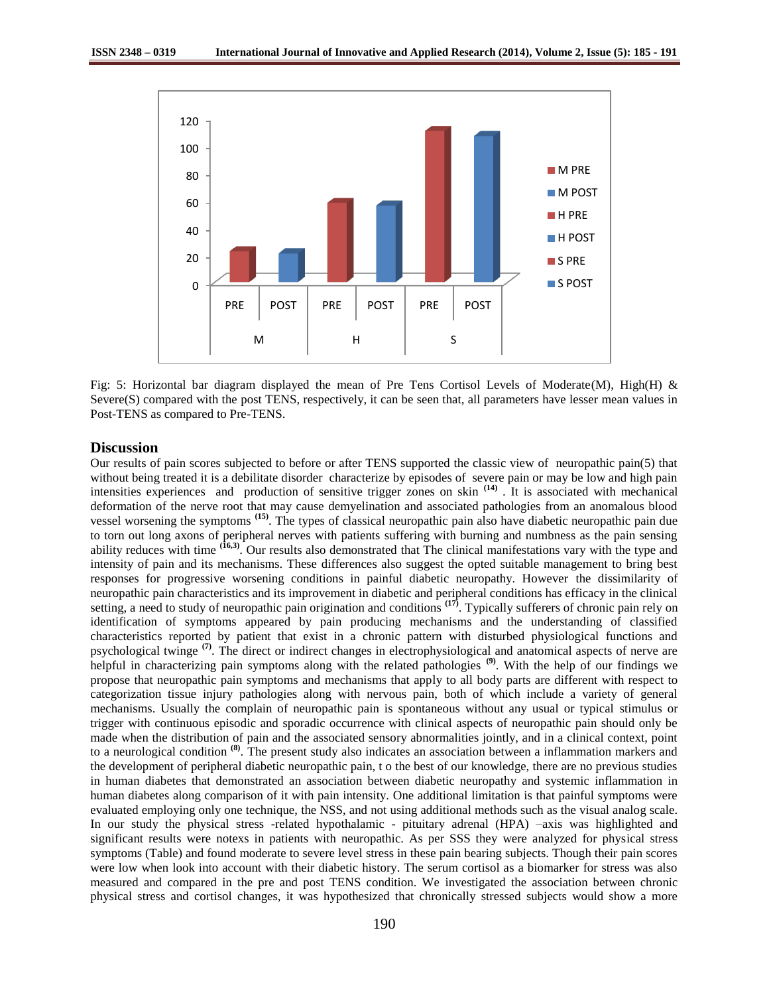

Fig: 5: Horizontal bar diagram displayed the mean of Pre Tens Cortisol Levels of Moderate(M), High(H) & Severe(S) compared with the post TENS, respectively, it can be seen that, all parameters have lesser mean values in Post-TENS as compared to Pre-TENS.

### **Discussion**

Our results of pain scores subjected to before or after TENS supported the classic view of neuropathic pain(5) that without being treated it is a debilitate disorder characterize by episodes of severe pain or may be low and high pain intensities experiences and production of sensitive trigger zones on skin **(14)** . It is associated with mechanical deformation of the nerve root that may cause demyelination and associated pathologies from an anomalous blood vessel worsening the symptoms **(15)**. The types of classical neuropathic pain also have diabetic neuropathic pain due to torn out long axons of peripheral nerves with patients suffering with burning and numbness as the pain sensing ability reduces with time **(16,3)**. Our results also demonstrated that The clinical manifestations vary with the type and intensity of pain and its mechanisms. These differences also suggest the opted suitable management to bring best responses for progressive worsening conditions in painful diabetic neuropathy. However the dissimilarity of neuropathic pain characteristics and its improvement in diabetic and peripheral conditions has efficacy in the clinical setting, a need to study of neuropathic pain origination and conditions **(17)**. Typically sufferers of chronic pain rely on identification of symptoms appeared by pain producing mechanisms and the understanding of classified characteristics reported by patient that exist in a chronic pattern with disturbed physiological functions and psychological twinge **(7)**. The direct or indirect changes in electrophysiological and anatomical aspects of nerve are helpful in characterizing pain symptoms along with the related pathologies **(9)**. With the help of our findings we propose that neuropathic pain symptoms and mechanisms that apply to all body parts are different with respect to categorization tissue injury pathologies along with nervous pain, both of which include a variety of general mechanisms. Usually the complain of neuropathic pain is spontaneous without any usual or typical stimulus or trigger with continuous episodic and sporadic occurrence with clinical aspects of neuropathic pain should only be made when the distribution of pain and the associated sensory abnormalities jointly, and in a clinical context, point to a neurological condition **(8)** . The present study also indicates an association between a inflammation markers and the development of peripheral diabetic neuropathic pain, t o the best of our knowledge, there are no previous studies in human diabetes that demonstrated an association between diabetic neuropathy and systemic inflammation in human diabetes along comparison of it with pain intensity. One additional limitation is that painful symptoms were evaluated employing only one technique, the NSS, and not using additional methods such as the visual analog scale. In our study the physical stress -related hypothalamic - pituitary adrenal (HPA) –axis was highlighted and significant results were notexs in patients with neuropathic. As per SSS they were analyzed for physical stress symptoms (Table) and found moderate to severe level stress in these pain bearing subjects. Though their pain scores were low when look into account with their diabetic history. The serum cortisol as a biomarker for stress was also measured and compared in the pre and post TENS condition. We investigated the association between chronic physical stress and cortisol changes, it was hypothesized that chronically stressed subjects would show a more